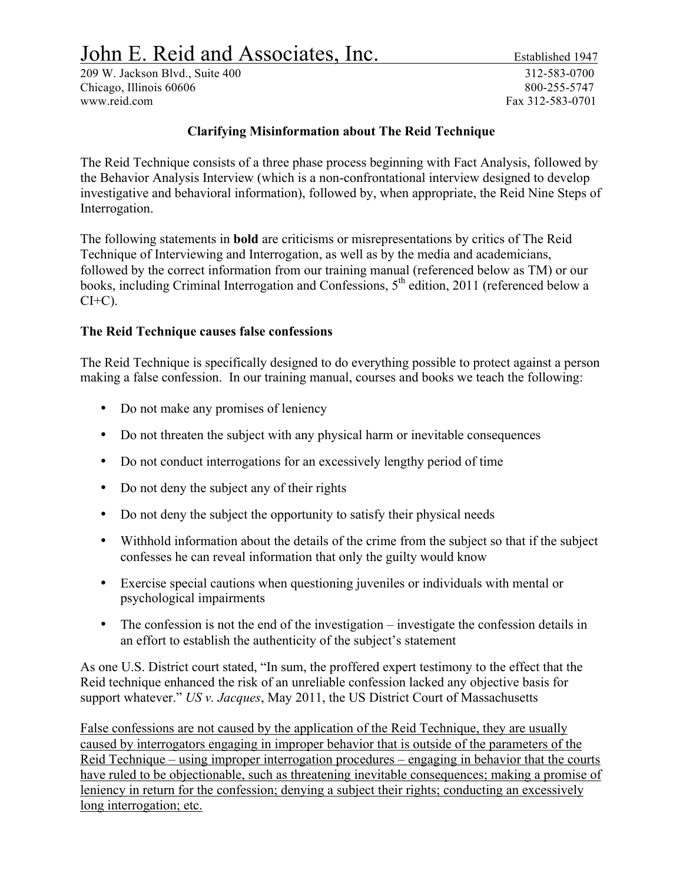# John E. Reid and Associates, Inc. Established 1947

209 W. Jackson Blvd., Suite 400 312-583-0700 Chicago, Illinois 60606 800-255-5747 www.reid.com Fax 312-583-0701

## **Clarifying Misinformation about The Reid Technique**

The Reid Technique consists of a three phase process beginning with Fact Analysis, followed by the Behavior Analysis Interview (which is a non-confrontational interview designed to develop investigative and behavioral information), followed by, when appropriate, the Reid Nine Steps of Interrogation.

The following statements in **bold** are criticisms or misrepresentations by critics of The Reid Technique of Interviewing and Interrogation, as well as by the media and academicians, followed by the correct information from our training manual (referenced below as TM) or our books, including Criminal Interrogation and Confessions, 5<sup>th</sup> edition, 2011 (referenced below a  $CI+C$ ).

## **The Reid Technique causes false confessions**

The Reid Technique is specifically designed to do everything possible to protect against a person making a false confession. In our training manual, courses and books we teach the following:

- Do not make any promises of leniency
- Do not threaten the subject with any physical harm or inevitable consequences
- Do not conduct interrogations for an excessively lengthy period of time
- Do not deny the subject any of their rights
- Do not deny the subject the opportunity to satisfy their physical needs
- Withhold information about the details of the crime from the subject so that if the subject confesses he can reveal information that only the guilty would know
- Exercise special cautions when questioning juveniles or individuals with mental or psychological impairments
- The confession is not the end of the investigation investigate the confession details in an effort to establish the authenticity of the subject's statement

As one U.S. District court stated, "In sum, the proffered expert testimony to the effect that the Reid technique enhanced the risk of an unreliable confession lacked any objective basis for support whatever." *US v. Jacques*, May 2011, the US District Court of Massachusetts

False confessions are not caused by the application of the Reid Technique, they are usually caused by interrogators engaging in improper behavior that is outside of the parameters of the Reid Technique – using improper interrogation procedures – engaging in behavior that the courts have ruled to be objectionable, such as threatening inevitable consequences; making a promise of leniency in return for the confession; denying a subject their rights; conducting an excessively long interrogation; etc.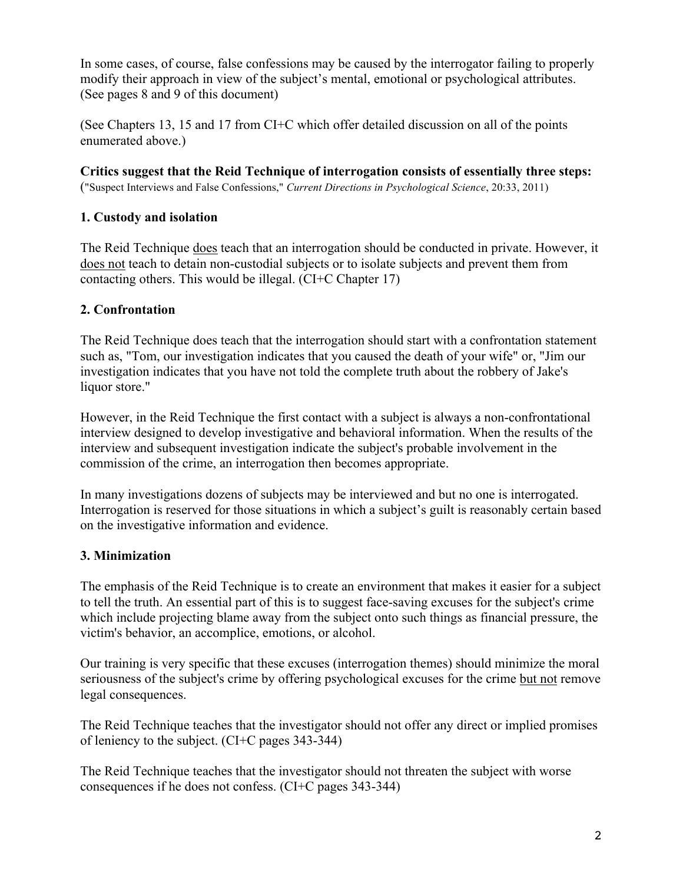In some cases, of course, false confessions may be caused by the interrogator failing to properly modify their approach in view of the subject's mental, emotional or psychological attributes. (See pages 8 and 9 of this document)

(See Chapters 13, 15 and 17 from CI+C which offer detailed discussion on all of the points enumerated above.)

**Critics suggest that the Reid Technique of interrogation consists of essentially three steps:**  ("Suspect Interviews and False Confessions," *Current Directions in Psychological Science*, 20:33, 2011)

# **1. Custody and isolation**

The Reid Technique does teach that an interrogation should be conducted in private. However, it does not teach to detain non-custodial subjects or to isolate subjects and prevent them from contacting others. This would be illegal. (CI+C Chapter 17)

# **2. Confrontation**

The Reid Technique does teach that the interrogation should start with a confrontation statement such as, "Tom, our investigation indicates that you caused the death of your wife" or, "Jim our investigation indicates that you have not told the complete truth about the robbery of Jake's liquor store."

However, in the Reid Technique the first contact with a subject is always a non-confrontational interview designed to develop investigative and behavioral information. When the results of the interview and subsequent investigation indicate the subject's probable involvement in the commission of the crime, an interrogation then becomes appropriate.

In many investigations dozens of subjects may be interviewed and but no one is interrogated. Interrogation is reserved for those situations in which a subject's guilt is reasonably certain based on the investigative information and evidence.

# **3. Minimization**

The emphasis of the Reid Technique is to create an environment that makes it easier for a subject to tell the truth. An essential part of this is to suggest face-saving excuses for the subject's crime which include projecting blame away from the subject onto such things as financial pressure, the victim's behavior, an accomplice, emotions, or alcohol.

Our training is very specific that these excuses (interrogation themes) should minimize the moral seriousness of the subject's crime by offering psychological excuses for the crime but not remove legal consequences.

The Reid Technique teaches that the investigator should not offer any direct or implied promises of leniency to the subject. (CI+C pages 343-344)

The Reid Technique teaches that the investigator should not threaten the subject with worse consequences if he does not confess. (CI+C pages 343-344)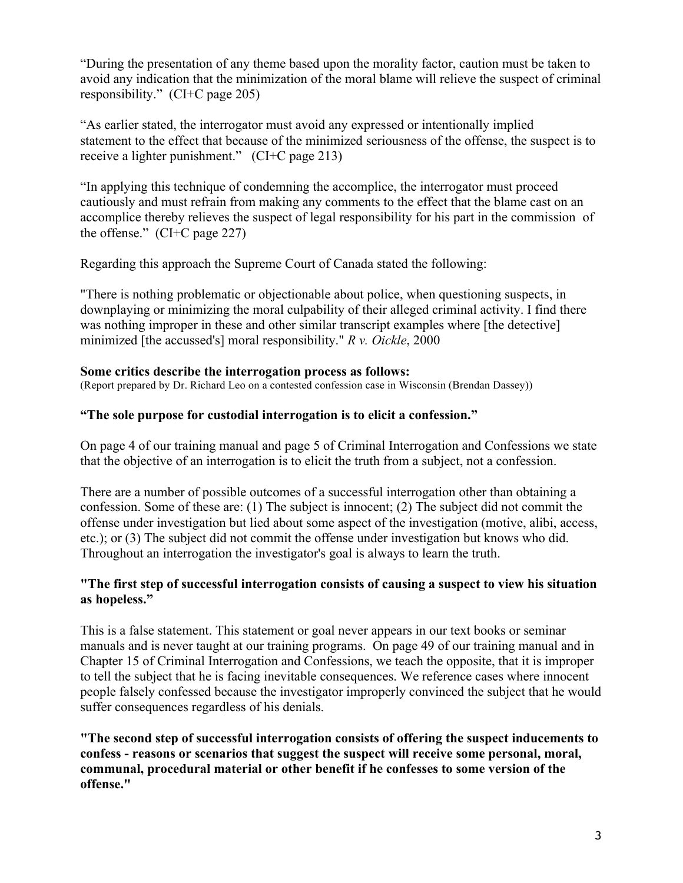"During the presentation of any theme based upon the morality factor, caution must be taken to avoid any indication that the minimization of the moral blame will relieve the suspect of criminal responsibility." (CI+C page 205)

"As earlier stated, the interrogator must avoid any expressed or intentionally implied statement to the effect that because of the minimized seriousness of the offense, the suspect is to receive a lighter punishment." (CI+C page 213)

"In applying this technique of condemning the accomplice, the interrogator must proceed cautiously and must refrain from making any comments to the effect that the blame cast on an accomplice thereby relieves the suspect of legal responsibility for his part in the commission of the offense." (CI+C page 227)

Regarding this approach the Supreme Court of Canada stated the following:

"There is nothing problematic or objectionable about police, when questioning suspects, in downplaying or minimizing the moral culpability of their alleged criminal activity. I find there was nothing improper in these and other similar transcript examples where [the detective] minimized [the accussed's] moral responsibility." *R v. Oickle*, 2000

## **Some critics describe the interrogation process as follows:**

(Report prepared by Dr. Richard Leo on a contested confession case in Wisconsin (Brendan Dassey))

## **"The sole purpose for custodial interrogation is to elicit a confession."**

On page 4 of our training manual and page 5 of Criminal Interrogation and Confessions we state that the objective of an interrogation is to elicit the truth from a subject, not a confession.

There are a number of possible outcomes of a successful interrogation other than obtaining a confession. Some of these are: (1) The subject is innocent; (2) The subject did not commit the offense under investigation but lied about some aspect of the investigation (motive, alibi, access, etc.); or (3) The subject did not commit the offense under investigation but knows who did. Throughout an interrogation the investigator's goal is always to learn the truth.

## **"The first step of successful interrogation consists of causing a suspect to view his situation as hopeless."**

This is a false statement. This statement or goal never appears in our text books or seminar manuals and is never taught at our training programs. On page 49 of our training manual and in Chapter 15 of Criminal Interrogation and Confessions, we teach the opposite, that it is improper to tell the subject that he is facing inevitable consequences. We reference cases where innocent people falsely confessed because the investigator improperly convinced the subject that he would suffer consequences regardless of his denials.

**"The second step of successful interrogation consists of offering the suspect inducements to confess - reasons or scenarios that suggest the suspect will receive some personal, moral, communal, procedural material or other benefit if he confesses to some version of the offense."**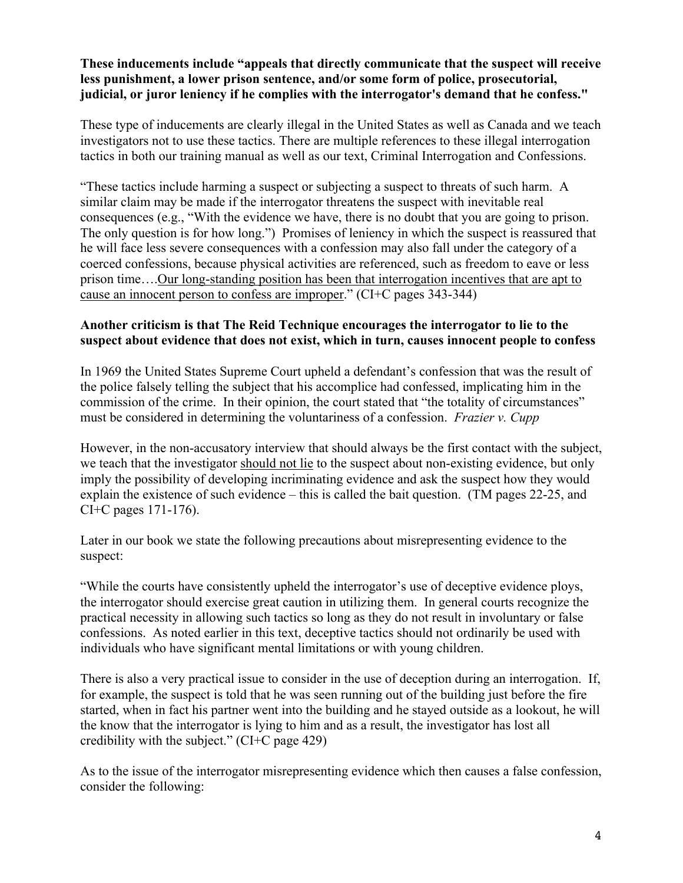#### **These inducements include "appeals that directly communicate that the suspect will receive less punishment, a lower prison sentence, and/or some form of police, prosecutorial, judicial, or juror leniency if he complies with the interrogator's demand that he confess."**

These type of inducements are clearly illegal in the United States as well as Canada and we teach investigators not to use these tactics. There are multiple references to these illegal interrogation tactics in both our training manual as well as our text, Criminal Interrogation and Confessions.

"These tactics include harming a suspect or subjecting a suspect to threats of such harm. A similar claim may be made if the interrogator threatens the suspect with inevitable real consequences (e.g., "With the evidence we have, there is no doubt that you are going to prison. The only question is for how long.") Promises of leniency in which the suspect is reassured that he will face less severe consequences with a confession may also fall under the category of a coerced confessions, because physical activities are referenced, such as freedom to eave or less prison time….Our long-standing position has been that interrogation incentives that are apt to cause an innocent person to confess are improper." (CI+C pages 343-344)

## **Another criticism is that The Reid Technique encourages the interrogator to lie to the suspect about evidence that does not exist, which in turn, causes innocent people to confess**

In 1969 the United States Supreme Court upheld a defendant's confession that was the result of the police falsely telling the subject that his accomplice had confessed, implicating him in the commission of the crime. In their opinion, the court stated that "the totality of circumstances" must be considered in determining the voluntariness of a confession. *Frazier v. Cupp*

However, in the non-accusatory interview that should always be the first contact with the subject, we teach that the investigator should not lie to the suspect about non-existing evidence, but only imply the possibility of developing incriminating evidence and ask the suspect how they would explain the existence of such evidence – this is called the bait question. (TM pages 22-25, and CI+C pages 171-176).

Later in our book we state the following precautions about misrepresenting evidence to the suspect:

"While the courts have consistently upheld the interrogator's use of deceptive evidence ploys, the interrogator should exercise great caution in utilizing them. In general courts recognize the practical necessity in allowing such tactics so long as they do not result in involuntary or false confessions. As noted earlier in this text, deceptive tactics should not ordinarily be used with individuals who have significant mental limitations or with young children.

There is also a very practical issue to consider in the use of deception during an interrogation. If, for example, the suspect is told that he was seen running out of the building just before the fire started, when in fact his partner went into the building and he stayed outside as a lookout, he will the know that the interrogator is lying to him and as a result, the investigator has lost all credibility with the subject." (CI+C page 429)

As to the issue of the interrogator misrepresenting evidence which then causes a false confession, consider the following: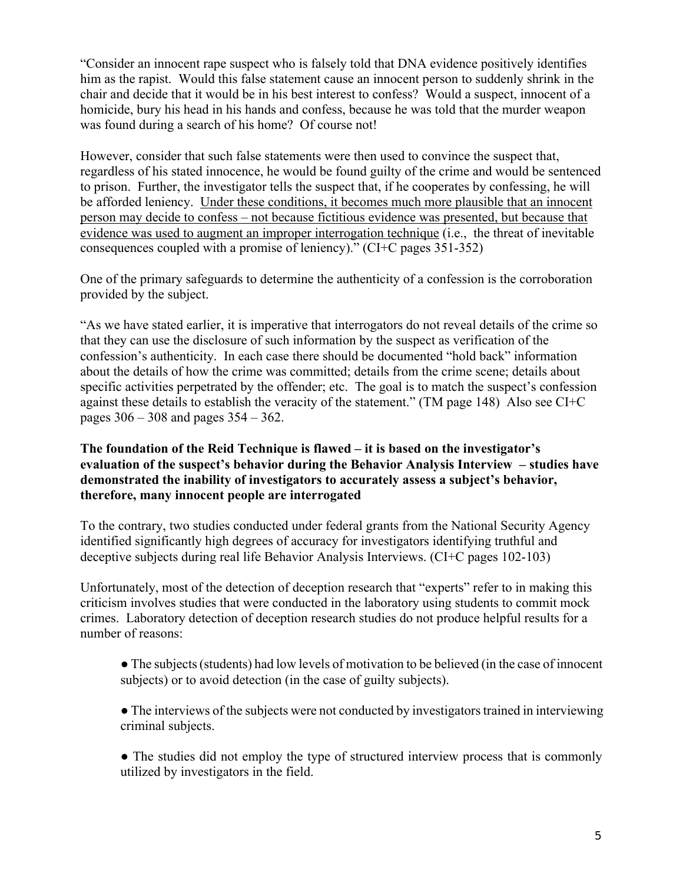"Consider an innocent rape suspect who is falsely told that DNA evidence positively identifies him as the rapist. Would this false statement cause an innocent person to suddenly shrink in the chair and decide that it would be in his best interest to confess? Would a suspect, innocent of a homicide, bury his head in his hands and confess, because he was told that the murder weapon was found during a search of his home? Of course not!

However, consider that such false statements were then used to convince the suspect that, regardless of his stated innocence, he would be found guilty of the crime and would be sentenced to prison. Further, the investigator tells the suspect that, if he cooperates by confessing, he will be afforded leniency. Under these conditions, it becomes much more plausible that an innocent person may decide to confess – not because fictitious evidence was presented, but because that evidence was used to augment an improper interrogation technique (i.e., the threat of inevitable consequences coupled with a promise of leniency)." (CI+C pages 351-352)

One of the primary safeguards to determine the authenticity of a confession is the corroboration provided by the subject.

"As we have stated earlier, it is imperative that interrogators do not reveal details of the crime so that they can use the disclosure of such information by the suspect as verification of the confession's authenticity. In each case there should be documented "hold back" information about the details of how the crime was committed; details from the crime scene; details about specific activities perpetrated by the offender; etc. The goal is to match the suspect's confession against these details to establish the veracity of the statement." (TM page 148) Also see CI+C pages 306 – 308 and pages 354 – 362.

#### **The foundation of the Reid Technique is flawed – it is based on the investigator's evaluation of the suspect's behavior during the Behavior Analysis Interview – studies have demonstrated the inability of investigators to accurately assess a subject's behavior, therefore, many innocent people are interrogated**

To the contrary, two studies conducted under federal grants from the National Security Agency identified significantly high degrees of accuracy for investigators identifying truthful and deceptive subjects during real life Behavior Analysis Interviews. (CI+C pages 102-103)

Unfortunately, most of the detection of deception research that "experts" refer to in making this criticism involves studies that were conducted in the laboratory using students to commit mock crimes. Laboratory detection of deception research studies do not produce helpful results for a number of reasons:

● The subjects (students) had low levels of motivation to be believed (in the case of innocent subjects) or to avoid detection (in the case of guilty subjects).

• The interviews of the subjects were not conducted by investigators trained in interviewing criminal subjects.

• The studies did not employ the type of structured interview process that is commonly utilized by investigators in the field.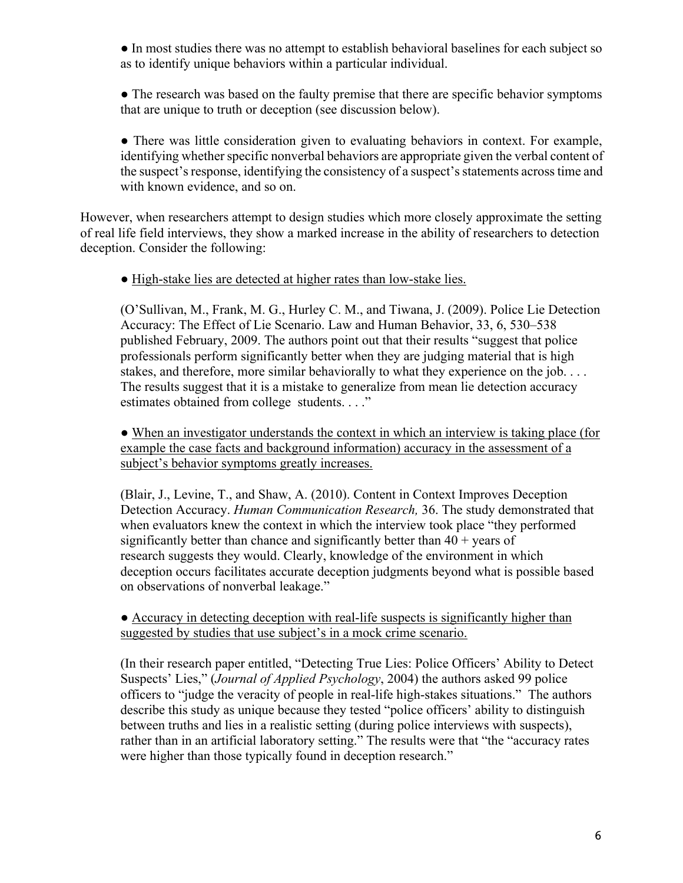● In most studies there was no attempt to establish behavioral baselines for each subject so as to identify unique behaviors within a particular individual.

• The research was based on the faulty premise that there are specific behavior symptoms that are unique to truth or deception (see discussion below).

• There was little consideration given to evaluating behaviors in context. For example, identifying whether specific nonverbal behaviors are appropriate given the verbal content of the suspect's response, identifying the consistency of a suspect's statements across time and with known evidence, and so on.

However, when researchers attempt to design studies which more closely approximate the setting of real life field interviews, they show a marked increase in the ability of researchers to detection deception. Consider the following:

● High-stake lies are detected at higher rates than low-stake lies.

(O'Sullivan, M., Frank, M. G., Hurley C. M., and Tiwana, J. (2009). Police Lie Detection Accuracy: The Effect of Lie Scenario. Law and Human Behavior, 33, 6, 530–538 published February, 2009. The authors point out that their results "suggest that police professionals perform significantly better when they are judging material that is high stakes, and therefore, more similar behaviorally to what they experience on the job. . . . The results suggest that it is a mistake to generalize from mean lie detection accuracy estimates obtained from college students. . . ."

• When an investigator understands the context in which an interview is taking place (for example the case facts and background information) accuracy in the assessment of a subject's behavior symptoms greatly increases.

(Blair, J., Levine, T., and Shaw, A. (2010). Content in Context Improves Deception Detection Accuracy. *Human Communication Research,* 36. The study demonstrated that when evaluators knew the context in which the interview took place "they performed significantly better than chance and significantly better than  $40 + \text{years of}$ research suggests they would. Clearly, knowledge of the environment in which deception occurs facilitates accurate deception judgments beyond what is possible based on observations of nonverbal leakage."

• Accuracy in detecting deception with real-life suspects is significantly higher than suggested by studies that use subject's in a mock crime scenario.

(In their research paper entitled, "Detecting True Lies: Police Officers' Ability to Detect Suspects' Lies," (*Journal of Applied Psychology*, 2004) the authors asked 99 police officers to "judge the veracity of people in real-life high-stakes situations." The authors describe this study as unique because they tested "police officers' ability to distinguish between truths and lies in a realistic setting (during police interviews with suspects), rather than in an artificial laboratory setting." The results were that "the "accuracy rates were higher than those typically found in deception research."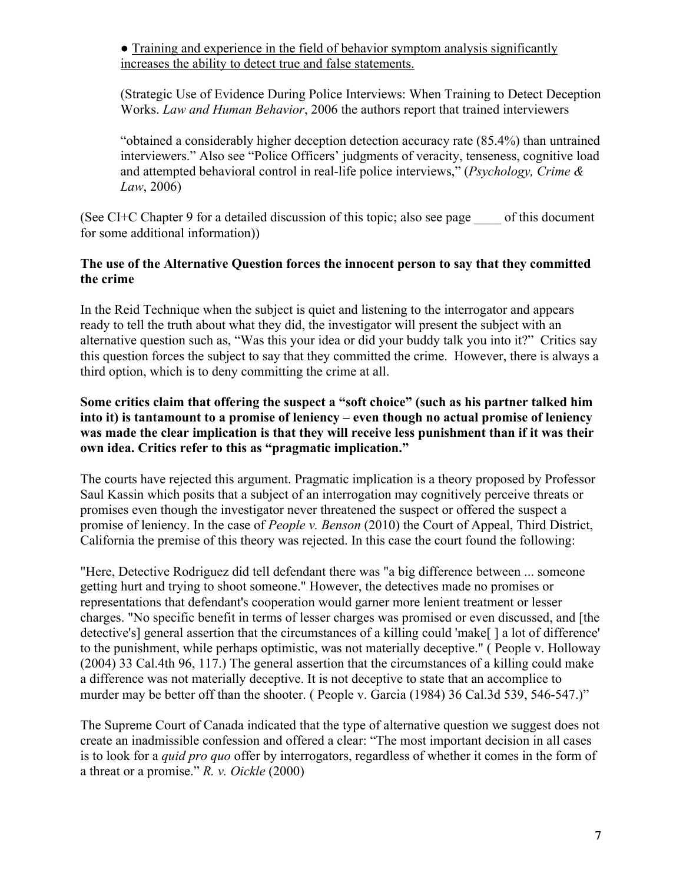● Training and experience in the field of behavior symptom analysis significantly increases the ability to detect true and false statements.

(Strategic Use of Evidence During Police Interviews: When Training to Detect Deception Works. *Law and Human Behavior*, 2006 the authors report that trained interviewers

"obtained a considerably higher deception detection accuracy rate (85.4%) than untrained interviewers." Also see "Police Officers' judgments of veracity, tenseness, cognitive load and attempted behavioral control in real-life police interviews," (*Psychology, Crime & Law*, 2006)

(See CI+C Chapter 9 for a detailed discussion of this topic; also see page \_\_\_\_ of this document for some additional information))

## **The use of the Alternative Question forces the innocent person to say that they committed the crime**

In the Reid Technique when the subject is quiet and listening to the interrogator and appears ready to tell the truth about what they did, the investigator will present the subject with an alternative question such as, "Was this your idea or did your buddy talk you into it?" Critics say this question forces the subject to say that they committed the crime. However, there is always a third option, which is to deny committing the crime at all.

## **Some critics claim that offering the suspect a "soft choice" (such as his partner talked him into it) is tantamount to a promise of leniency – even though no actual promise of leniency was made the clear implication is that they will receive less punishment than if it was their own idea. Critics refer to this as "pragmatic implication."**

The courts have rejected this argument. Pragmatic implication is a theory proposed by Professor Saul Kassin which posits that a subject of an interrogation may cognitively perceive threats or promises even though the investigator never threatened the suspect or offered the suspect a promise of leniency. In the case of *People v. Benson* (2010) the Court of Appeal, Third District, California the premise of this theory was rejected. In this case the court found the following:

"Here, Detective Rodriguez did tell defendant there was "a big difference between ... someone getting hurt and trying to shoot someone." However, the detectives made no promises or representations that defendant's cooperation would garner more lenient treatment or lesser charges. "No specific benefit in terms of lesser charges was promised or even discussed, and [the detective's] general assertion that the circumstances of a killing could 'make[ ] a lot of difference' to the punishment, while perhaps optimistic, was not materially deceptive." ( People v. Holloway (2004) 33 Cal.4th 96, 117.) The general assertion that the circumstances of a killing could make a difference was not materially deceptive. It is not deceptive to state that an accomplice to murder may be better off than the shooter. ( People v. Garcia (1984) 36 Cal. 3d 539, 546-547.)"

The Supreme Court of Canada indicated that the type of alternative question we suggest does not create an inadmissible confession and offered a clear: "The most important decision in all cases is to look for a *quid pro quo* offer by interrogators, regardless of whether it comes in the form of a threat or a promise." *R. v. Oickle* (2000)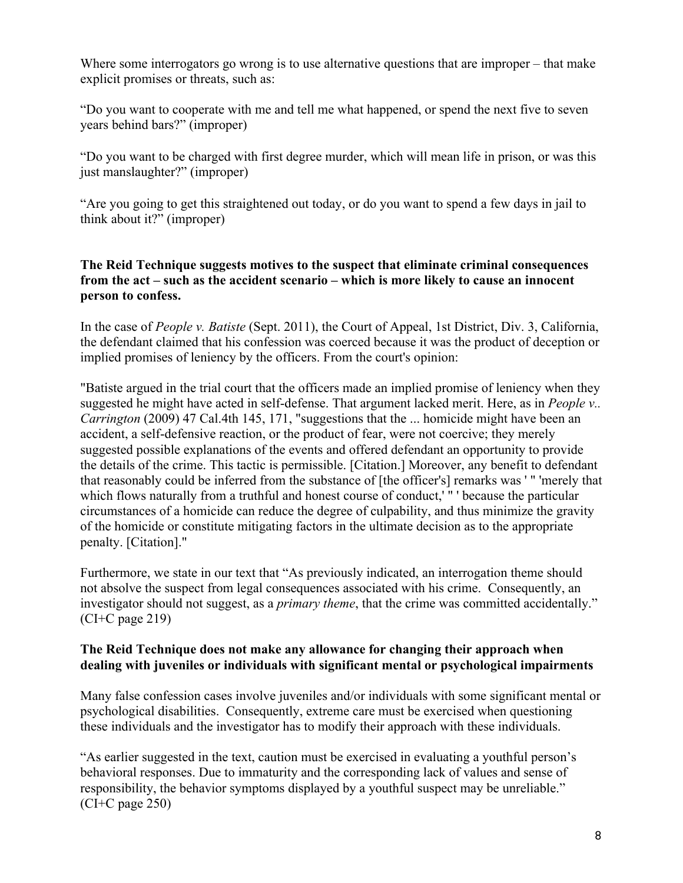Where some interrogators go wrong is to use alternative questions that are improper – that make explicit promises or threats, such as:

"Do you want to cooperate with me and tell me what happened, or spend the next five to seven years behind bars?" (improper)

"Do you want to be charged with first degree murder, which will mean life in prison, or was this just manslaughter?" (improper)

"Are you going to get this straightened out today, or do you want to spend a few days in jail to think about it?" (improper)

## **The Reid Technique suggests motives to the suspect that eliminate criminal consequences from the act – such as the accident scenario – which is more likely to cause an innocent person to confess.**

In the case of *People v. Batiste* (Sept. 2011), the Court of Appeal, 1st District, Div. 3, California, the defendant claimed that his confession was coerced because it was the product of deception or implied promises of leniency by the officers. From the court's opinion:

"Batiste argued in the trial court that the officers made an implied promise of leniency when they suggested he might have acted in self-defense. That argument lacked merit. Here, as in *People v.. Carrington* (2009) 47 Cal.4th 145, 171, "suggestions that the ... homicide might have been an accident, a self-defensive reaction, or the product of fear, were not coercive; they merely suggested possible explanations of the events and offered defendant an opportunity to provide the details of the crime. This tactic is permissible. [Citation.] Moreover, any benefit to defendant that reasonably could be inferred from the substance of [the officer's] remarks was ' " 'merely that which flows naturally from a truthful and honest course of conduct,' " ' because the particular circumstances of a homicide can reduce the degree of culpability, and thus minimize the gravity of the homicide or constitute mitigating factors in the ultimate decision as to the appropriate penalty. [Citation]."

Furthermore, we state in our text that "As previously indicated, an interrogation theme should not absolve the suspect from legal consequences associated with his crime. Consequently, an investigator should not suggest, as a *primary theme*, that the crime was committed accidentally." (CI+C page 219)

## **The Reid Technique does not make any allowance for changing their approach when dealing with juveniles or individuals with significant mental or psychological impairments**

Many false confession cases involve juveniles and/or individuals with some significant mental or psychological disabilities. Consequently, extreme care must be exercised when questioning these individuals and the investigator has to modify their approach with these individuals.

"As earlier suggested in the text, caution must be exercised in evaluating a youthful person's behavioral responses. Due to immaturity and the corresponding lack of values and sense of responsibility, the behavior symptoms displayed by a youthful suspect may be unreliable." (CI+C page 250)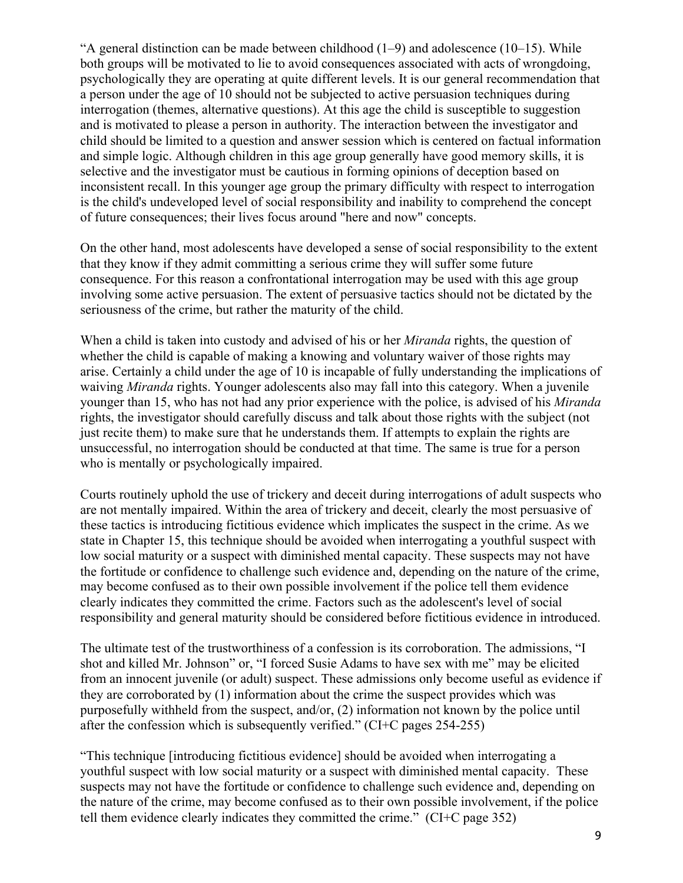"A general distinction can be made between childhood  $(1-9)$  and adolescence  $(10-15)$ . While both groups will be motivated to lie to avoid consequences associated with acts of wrongdoing, psychologically they are operating at quite different levels. It is our general recommendation that a person under the age of 10 should not be subjected to active persuasion techniques during interrogation (themes, alternative questions). At this age the child is susceptible to suggestion and is motivated to please a person in authority. The interaction between the investigator and child should be limited to a question and answer session which is centered on factual information and simple logic. Although children in this age group generally have good memory skills, it is selective and the investigator must be cautious in forming opinions of deception based on inconsistent recall. In this younger age group the primary difficulty with respect to interrogation is the child's undeveloped level of social responsibility and inability to comprehend the concept of future consequences; their lives focus around "here and now" concepts.

On the other hand, most adolescents have developed a sense of social responsibility to the extent that they know if they admit committing a serious crime they will suffer some future consequence. For this reason a confrontational interrogation may be used with this age group involving some active persuasion. The extent of persuasive tactics should not be dictated by the seriousness of the crime, but rather the maturity of the child.

When a child is taken into custody and advised of his or her *Miranda* rights, the question of whether the child is capable of making a knowing and voluntary waiver of those rights may arise. Certainly a child under the age of 10 is incapable of fully understanding the implications of waiving *Miranda* rights. Younger adolescents also may fall into this category. When a juvenile younger than 15, who has not had any prior experience with the police, is advised of his *Miranda* rights, the investigator should carefully discuss and talk about those rights with the subject (not just recite them) to make sure that he understands them. If attempts to explain the rights are unsuccessful, no interrogation should be conducted at that time. The same is true for a person who is mentally or psychologically impaired.

Courts routinely uphold the use of trickery and deceit during interrogations of adult suspects who are not mentally impaired. Within the area of trickery and deceit, clearly the most persuasive of these tactics is introducing fictitious evidence which implicates the suspect in the crime. As we state in Chapter 15, this technique should be avoided when interrogating a youthful suspect with low social maturity or a suspect with diminished mental capacity. These suspects may not have the fortitude or confidence to challenge such evidence and, depending on the nature of the crime, may become confused as to their own possible involvement if the police tell them evidence clearly indicates they committed the crime. Factors such as the adolescent's level of social responsibility and general maturity should be considered before fictitious evidence in introduced.

The ultimate test of the trustworthiness of a confession is its corroboration. The admissions, "I shot and killed Mr. Johnson" or, "I forced Susie Adams to have sex with me" may be elicited from an innocent juvenile (or adult) suspect. These admissions only become useful as evidence if they are corroborated by (1) information about the crime the suspect provides which was purposefully withheld from the suspect, and/or, (2) information not known by the police until after the confession which is subsequently verified." (CI+C pages 254-255)

"This technique [introducing fictitious evidence] should be avoided when interrogating a youthful suspect with low social maturity or a suspect with diminished mental capacity. These suspects may not have the fortitude or confidence to challenge such evidence and, depending on the nature of the crime, may become confused as to their own possible involvement, if the police tell them evidence clearly indicates they committed the crime." (CI+C page 352)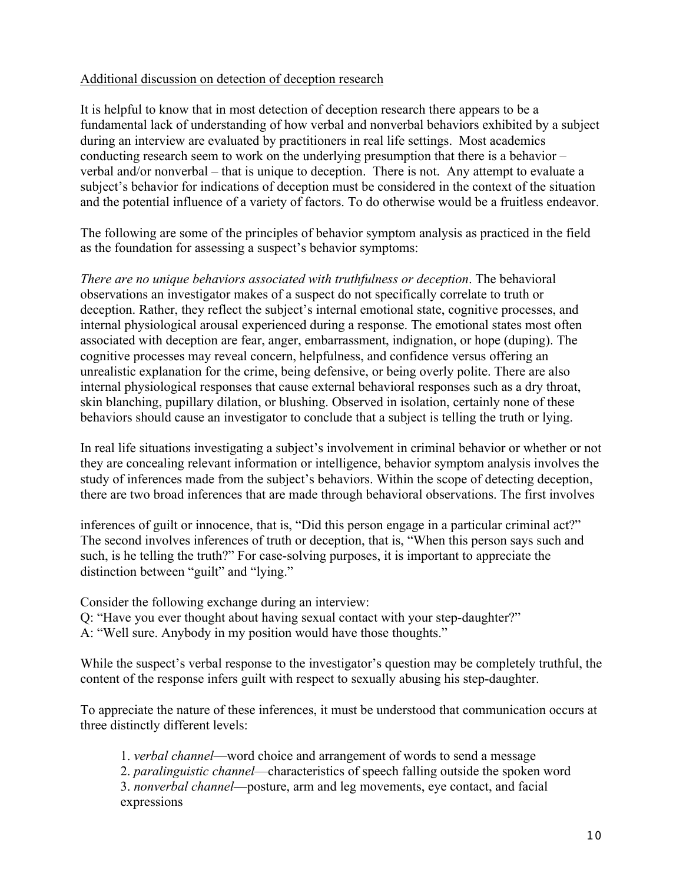## Additional discussion on detection of deception research

It is helpful to know that in most detection of deception research there appears to be a fundamental lack of understanding of how verbal and nonverbal behaviors exhibited by a subject during an interview are evaluated by practitioners in real life settings. Most academics conducting research seem to work on the underlying presumption that there is a behavior – verbal and/or nonverbal – that is unique to deception. There is not. Any attempt to evaluate a subject's behavior for indications of deception must be considered in the context of the situation and the potential influence of a variety of factors. To do otherwise would be a fruitless endeavor.

The following are some of the principles of behavior symptom analysis as practiced in the field as the foundation for assessing a suspect's behavior symptoms:

*There are no unique behaviors associated with truthfulness or deception*. The behavioral observations an investigator makes of a suspect do not specifically correlate to truth or deception. Rather, they reflect the subject's internal emotional state, cognitive processes, and internal physiological arousal experienced during a response. The emotional states most often associated with deception are fear, anger, embarrassment, indignation, or hope (duping). The cognitive processes may reveal concern, helpfulness, and confidence versus offering an unrealistic explanation for the crime, being defensive, or being overly polite. There are also internal physiological responses that cause external behavioral responses such as a dry throat, skin blanching, pupillary dilation, or blushing. Observed in isolation, certainly none of these behaviors should cause an investigator to conclude that a subject is telling the truth or lying.

In real life situations investigating a subject's involvement in criminal behavior or whether or not they are concealing relevant information or intelligence, behavior symptom analysis involves the study of inferences made from the subject's behaviors. Within the scope of detecting deception, there are two broad inferences that are made through behavioral observations. The first involves

inferences of guilt or innocence, that is, "Did this person engage in a particular criminal act?" The second involves inferences of truth or deception, that is, "When this person says such and such, is he telling the truth?" For case-solving purposes, it is important to appreciate the distinction between "guilt" and "lying."

Consider the following exchange during an interview:

Q: "Have you ever thought about having sexual contact with your step-daughter?"

A: "Well sure. Anybody in my position would have those thoughts."

While the suspect's verbal response to the investigator's question may be completely truthful, the content of the response infers guilt with respect to sexually abusing his step-daughter.

To appreciate the nature of these inferences, it must be understood that communication occurs at three distinctly different levels:

1. *verbal channel*—word choice and arrangement of words to send a message

2. *paralinguistic channel*—characteristics of speech falling outside the spoken word

3. *nonverbal channel*—posture, arm and leg movements, eye contact, and facial expressions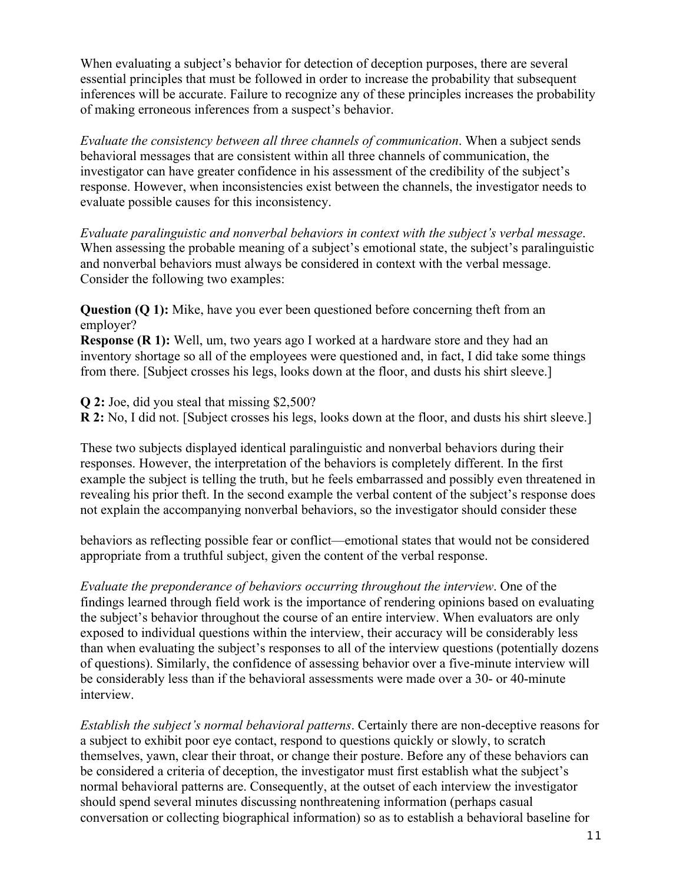When evaluating a subject's behavior for detection of deception purposes, there are several essential principles that must be followed in order to increase the probability that subsequent inferences will be accurate. Failure to recognize any of these principles increases the probability of making erroneous inferences from a suspect's behavior.

*Evaluate the consistency between all three channels of communication*. When a subject sends behavioral messages that are consistent within all three channels of communication, the investigator can have greater confidence in his assessment of the credibility of the subject's response. However, when inconsistencies exist between the channels, the investigator needs to evaluate possible causes for this inconsistency.

*Evaluate paralinguistic and nonverbal behaviors in context with the subject's verbal message*. When assessing the probable meaning of a subject's emotional state, the subject's paralinguistic and nonverbal behaviors must always be considered in context with the verbal message. Consider the following two examples:

**Question (Q 1):** Mike, have you ever been questioned before concerning theft from an employer?

**Response (R 1):** Well, um, two years ago I worked at a hardware store and they had an inventory shortage so all of the employees were questioned and, in fact, I did take some things from there. [Subject crosses his legs, looks down at the floor, and dusts his shirt sleeve.]

**Q 2:** Joe, did you steal that missing \$2,500?

**R 2:** No, I did not. [Subject crosses his legs, looks down at the floor, and dusts his shirt sleeve.]

These two subjects displayed identical paralinguistic and nonverbal behaviors during their responses. However, the interpretation of the behaviors is completely different. In the first example the subject is telling the truth, but he feels embarrassed and possibly even threatened in revealing his prior theft. In the second example the verbal content of the subject's response does not explain the accompanying nonverbal behaviors, so the investigator should consider these

behaviors as reflecting possible fear or conflict—emotional states that would not be considered appropriate from a truthful subject, given the content of the verbal response.

*Evaluate the preponderance of behaviors occurring throughout the interview*. One of the findings learned through field work is the importance of rendering opinions based on evaluating the subject's behavior throughout the course of an entire interview. When evaluators are only exposed to individual questions within the interview, their accuracy will be considerably less than when evaluating the subject's responses to all of the interview questions (potentially dozens of questions). Similarly, the confidence of assessing behavior over a five-minute interview will be considerably less than if the behavioral assessments were made over a 30- or 40-minute interview.

*Establish the subject's normal behavioral patterns*. Certainly there are non-deceptive reasons for a subject to exhibit poor eye contact, respond to questions quickly or slowly, to scratch themselves, yawn, clear their throat, or change their posture. Before any of these behaviors can be considered a criteria of deception, the investigator must first establish what the subject's normal behavioral patterns are. Consequently, at the outset of each interview the investigator should spend several minutes discussing nonthreatening information (perhaps casual conversation or collecting biographical information) so as to establish a behavioral baseline for